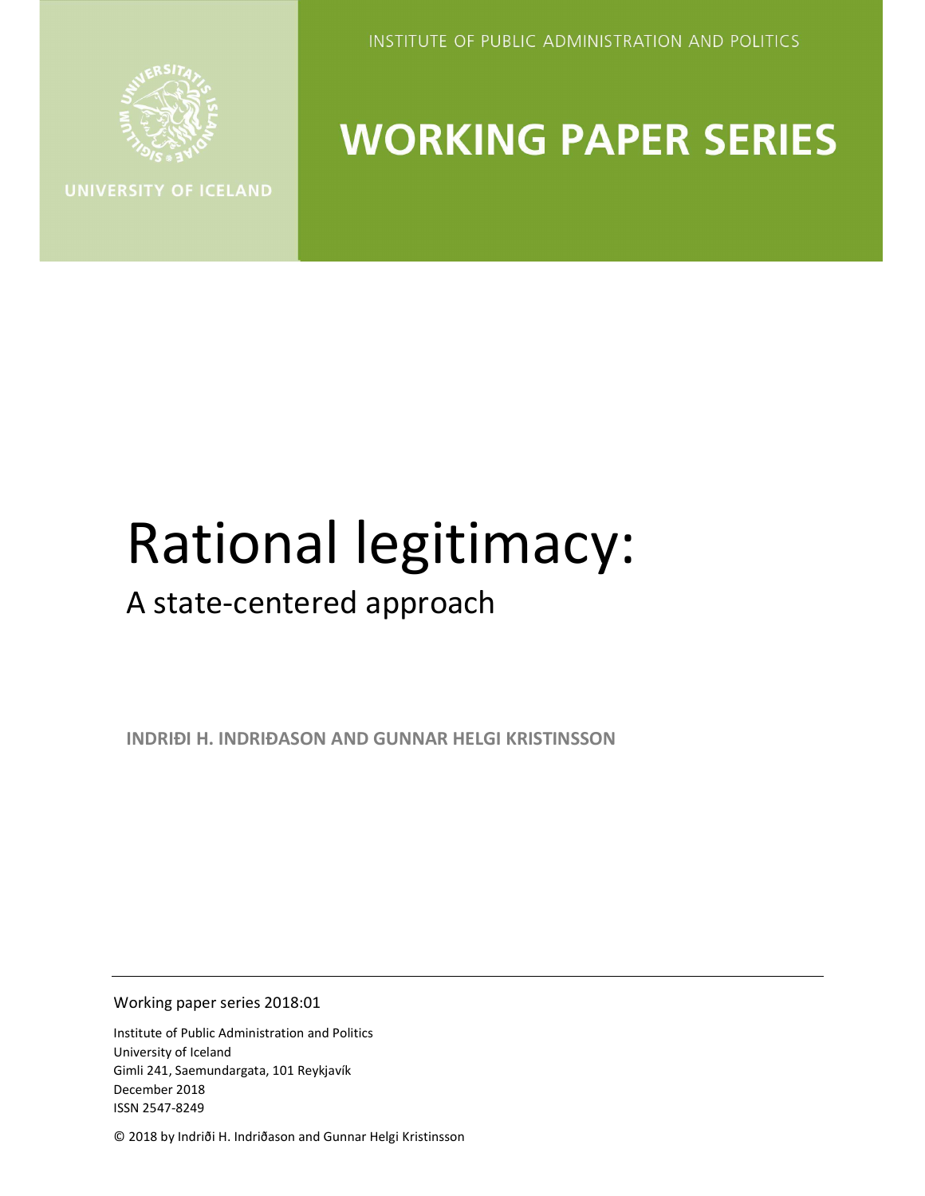

INSTITUTE OF PUBLIC ADMINISTRATION AND POLITICS

## **WORKING PAPER SERIES**

# Rational legitimacy:

### A state-centered approach

INDRIÐI H. INDRIÐASON AND GUNNAR HELGI KRISTINSSON

Working paper series 2018:01

Institute of Public Administration and Politics University of Iceland Gimli 241, Saemundargata, 101 Reykjavík December 2018 ISSN 2547-8249

© 2018 by Indriði H. Indriðason and Gunnar Helgi Kristinsson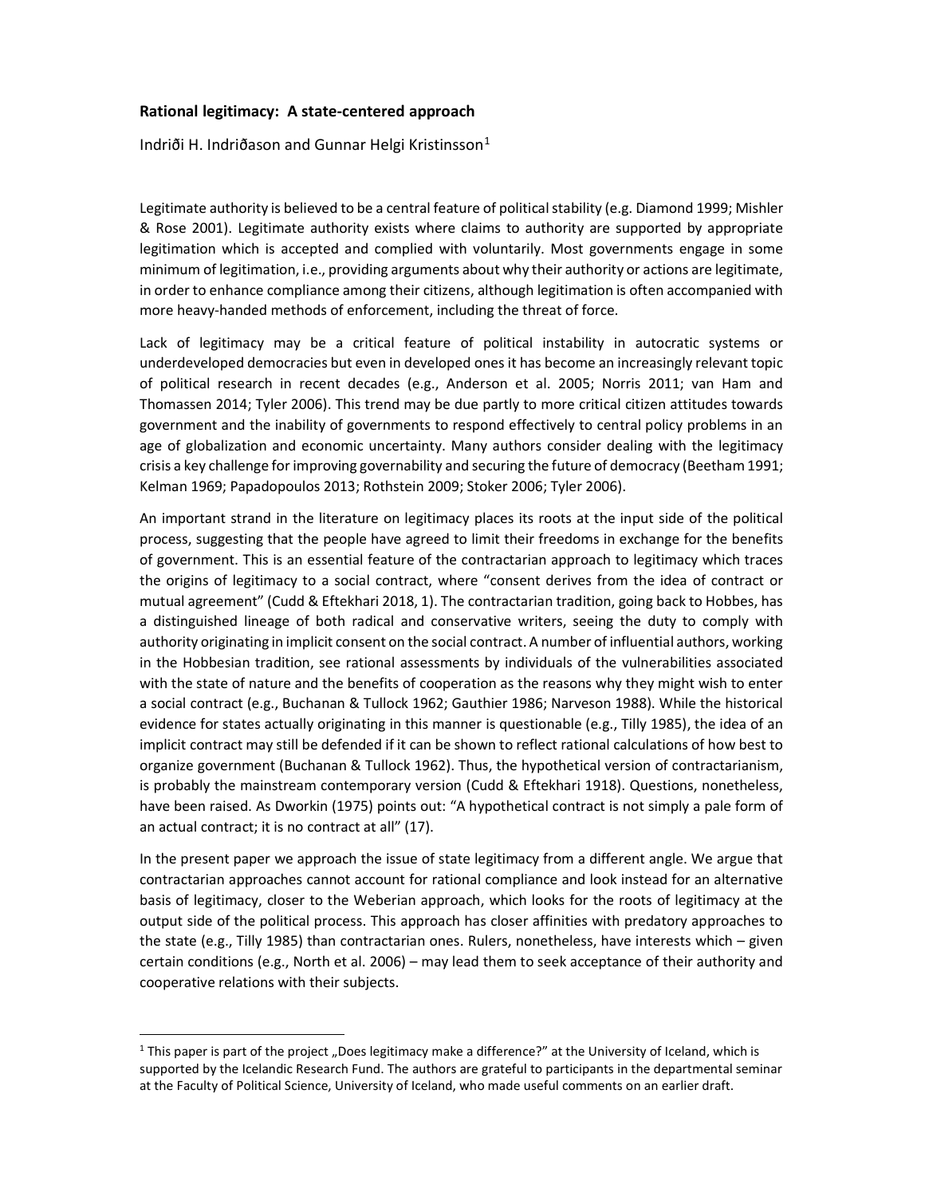#### Rational legitimacy: A state-centered approach

Indriði H. Indriðason and Gunnar Helgi Kristinsson $1$ 

Legitimate authority is believed to be a central feature of political stability (e.g. Diamond 1999; Mishler & Rose 2001). Legitimate authority exists where claims to authority are supported by appropriate legitimation which is accepted and complied with voluntarily. Most governments engage in some minimum of legitimation, i.e., providing arguments about why their authority or actions are legitimate, in order to enhance compliance among their citizens, although legitimation is often accompanied with more heavy-handed methods of enforcement, including the threat of force.

Lack of legitimacy may be a critical feature of political instability in autocratic systems or underdeveloped democracies but even in developed ones it has become an increasingly relevant topic of political research in recent decades (e.g., Anderson et al. 2005; Norris 2011; van Ham and Thomassen 2014; Tyler 2006). This trend may be due partly to more critical citizen attitudes towards government and the inability of governments to respond effectively to central policy problems in an age of globalization and economic uncertainty. Many authors consider dealing with the legitimacy crisis a key challenge for improving governability and securing the future of democracy (Beetham 1991; Kelman 1969; Papadopoulos 2013; Rothstein 2009; Stoker 2006; Tyler 2006).

An important strand in the literature on legitimacy places its roots at the input side of the political process, suggesting that the people have agreed to limit their freedoms in exchange for the benefits of government. This is an essential feature of the contractarian approach to legitimacy which traces the origins of legitimacy to a social contract, where "consent derives from the idea of contract or mutual agreement" (Cudd & Eftekhari 2018, 1). The contractarian tradition, going back to Hobbes, has a distinguished lineage of both radical and conservative writers, seeing the duty to comply with authority originating in implicit consent on the social contract. A number of influential authors, working in the Hobbesian tradition, see rational assessments by individuals of the vulnerabilities associated with the state of nature and the benefits of cooperation as the reasons why they might wish to enter a social contract (e.g., Buchanan & Tullock 1962; Gauthier 1986; Narveson 1988). While the historical evidence for states actually originating in this manner is questionable (e.g., Tilly 1985), the idea of an implicit contract may still be defended if it can be shown to reflect rational calculations of how best to organize government (Buchanan & Tullock 1962). Thus, the hypothetical version of contractarianism, is probably the mainstream contemporary version (Cudd & Eftekhari 1918). Questions, nonetheless, have been raised. As Dworkin (1975) points out: "A hypothetical contract is not simply a pale form of an actual contract; it is no contract at all" (17).

In the present paper we approach the issue of state legitimacy from a different angle. We argue that contractarian approaches cannot account for rational compliance and look instead for an alternative basis of legitimacy, closer to the Weberian approach, which looks for the roots of legitimacy at the output side of the political process. This approach has closer affinities with predatory approaches to the state (e.g., Tilly 1985) than contractarian ones. Rulers, nonetheless, have interests which – given certain conditions (e.g., North et al. 2006) – may lead them to seek acceptance of their authority and cooperative relations with their subjects.

 $\overline{a}$ 

<sup>&</sup>lt;sup>1</sup> This paper is part of the project "Does legitimacy make a difference?" at the University of Iceland, which is supported by the Icelandic Research Fund. The authors are grateful to participants in the departmental seminar at the Faculty of Political Science, University of Iceland, who made useful comments on an earlier draft.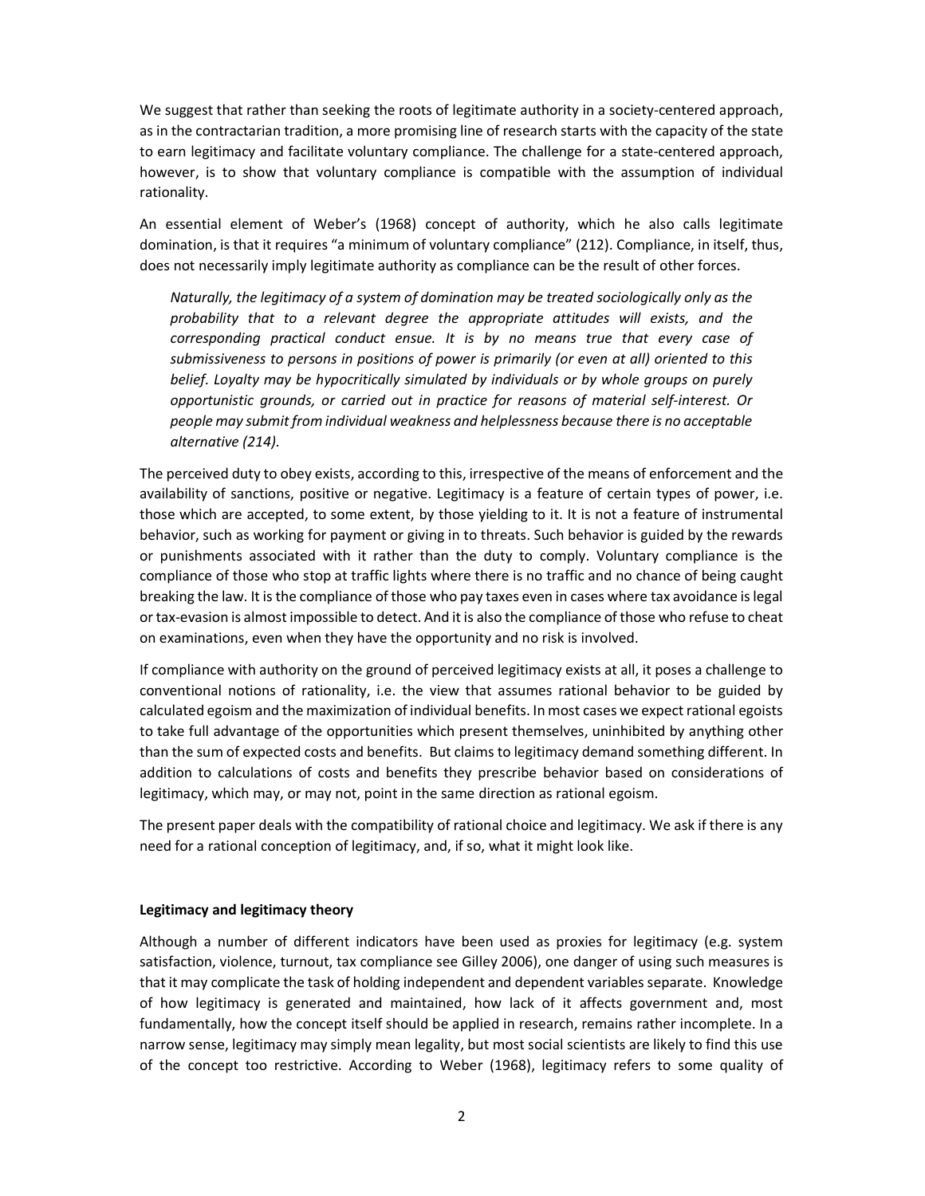We suggest that rather than seeking the roots of legitimate authority in a society-centered approach, as in the contractarian tradition, a more promising line of research starts with the capacity of the state to earn legitimacy and facilitate voluntary compliance. The challenge for a state-centered approach, however, is to show that voluntary compliance is compatible with the assumption of individual rationality.

An essential element of Weber's (1968) concept of authority, which he also calls legitimate domination, is that it requires "a minimum of voluntary compliance" (212). Compliance, in itself, thus, does not necessarily imply legitimate authority as compliance can be the result of other forces.

Naturally, the legitimacy of a system of domination may be treated sociologically only as the probability that to a relevant degree the appropriate attitudes will exists, and the corresponding practical conduct ensue. It is by no means true that every case of submissiveness to persons in positions of power is primarily (or even at all) oriented to this belief. Loyalty may be hypocritically simulated by individuals or by whole groups on purely opportunistic grounds, or carried out in practice for reasons of material self-interest. Or people may submit from individual weakness and helplessness because there is no acceptable alternative (214).

The perceived duty to obey exists, according to this, irrespective of the means of enforcement and the availability of sanctions, positive or negative. Legitimacy is a feature of certain types of power, i.e. those which are accepted, to some extent, by those yielding to it. It is not a feature of instrumental behavior, such as working for payment or giving in to threats. Such behavior is guided by the rewards or punishments associated with it rather than the duty to comply. Voluntary compliance is the compliance of those who stop at traffic lights where there is no traffic and no chance of being caught breaking the law. It is the compliance of those who pay taxes even in cases where tax avoidance is legal or tax-evasion is almost impossible to detect. And it is also the compliance of those who refuse to cheat on examinations, even when they have the opportunity and no risk is involved.

If compliance with authority on the ground of perceived legitimacy exists at all, it poses a challenge to conventional notions of rationality, i.e. the view that assumes rational behavior to be guided by calculated egoism and the maximization of individual benefits. In most cases we expect rational egoists to take full advantage of the opportunities which present themselves, uninhibited by anything other than the sum of expected costs and benefits. But claims to legitimacy demand something different. In addition to calculations of costs and benefits they prescribe behavior based on considerations of legitimacy, which may, or may not, point in the same direction as rational egoism.

The present paper deals with the compatibility of rational choice and legitimacy. We ask if there is any need for a rational conception of legitimacy, and, if so, what it might look like.

#### Legitimacy and legitimacy theory

Although a number of different indicators have been used as proxies for legitimacy (e.g. system satisfaction, violence, turnout, tax compliance see Gilley 2006), one danger of using such measures is that it may complicate the task of holding independent and dependent variables separate. Knowledge of how legitimacy is generated and maintained, how lack of it affects government and, most fundamentally, how the concept itself should be applied in research, remains rather incomplete. In a narrow sense, legitimacy may simply mean legality, but most social scientists are likely to find this use of the concept too restrictive. According to Weber (1968), legitimacy refers to some quality of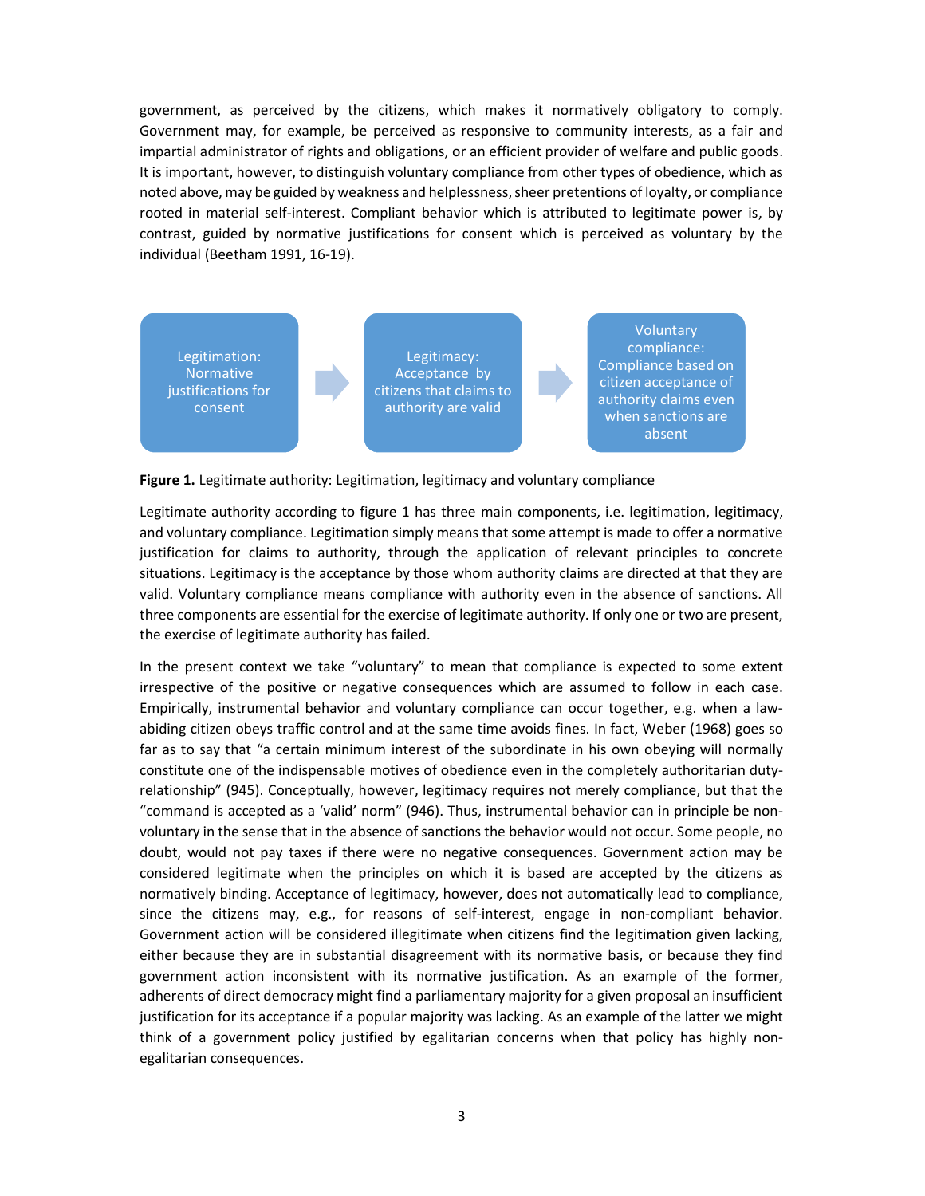government, as perceived by the citizens, which makes it normatively obligatory to comply. Government may, for example, be perceived as responsive to community interests, as a fair and impartial administrator of rights and obligations, or an efficient provider of welfare and public goods. It is important, however, to distinguish voluntary compliance from other types of obedience, which as noted above, may be guided by weakness and helplessness, sheer pretentions of loyalty, or compliance rooted in material self-interest. Compliant behavior which is attributed to legitimate power is, by contrast, guided by normative justifications for consent which is perceived as voluntary by the individual (Beetham 1991, 16-19).



Figure 1. Legitimate authority: Legitimation, legitimacy and voluntary compliance

Legitimate authority according to figure 1 has three main components, i.e. legitimation, legitimacy, and voluntary compliance. Legitimation simply means that some attempt is made to offer a normative justification for claims to authority, through the application of relevant principles to concrete situations. Legitimacy is the acceptance by those whom authority claims are directed at that they are valid. Voluntary compliance means compliance with authority even in the absence of sanctions. All three components are essential for the exercise of legitimate authority. If only one or two are present, the exercise of legitimate authority has failed.

In the present context we take "voluntary" to mean that compliance is expected to some extent irrespective of the positive or negative consequences which are assumed to follow in each case. Empirically, instrumental behavior and voluntary compliance can occur together, e.g. when a lawabiding citizen obeys traffic control and at the same time avoids fines. In fact, Weber (1968) goes so far as to say that "a certain minimum interest of the subordinate in his own obeying will normally constitute one of the indispensable motives of obedience even in the completely authoritarian dutyrelationship" (945). Conceptually, however, legitimacy requires not merely compliance, but that the "command is accepted as a 'valid' norm" (946). Thus, instrumental behavior can in principle be nonvoluntary in the sense that in the absence of sanctions the behavior would not occur. Some people, no doubt, would not pay taxes if there were no negative consequences. Government action may be considered legitimate when the principles on which it is based are accepted by the citizens as normatively binding. Acceptance of legitimacy, however, does not automatically lead to compliance, since the citizens may, e.g., for reasons of self-interest, engage in non-compliant behavior. Government action will be considered illegitimate when citizens find the legitimation given lacking, either because they are in substantial disagreement with its normative basis, or because they find government action inconsistent with its normative justification. As an example of the former, adherents of direct democracy might find a parliamentary majority for a given proposal an insufficient justification for its acceptance if a popular majority was lacking. As an example of the latter we might think of a government policy justified by egalitarian concerns when that policy has highly nonegalitarian consequences.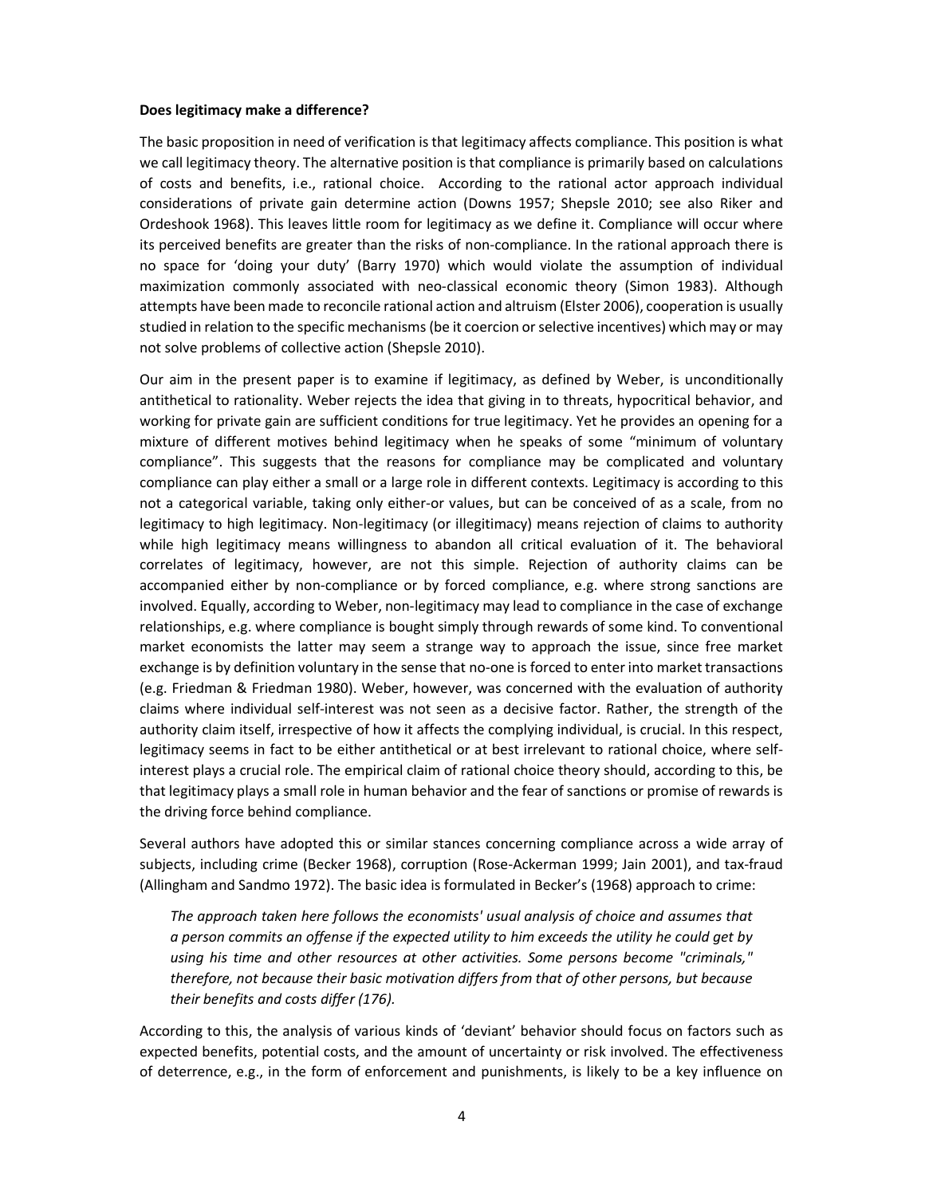#### Does legitimacy make a difference?

The basic proposition in need of verification is that legitimacy affects compliance. This position is what we call legitimacy theory. The alternative position is that compliance is primarily based on calculations of costs and benefits, i.e., rational choice. According to the rational actor approach individual considerations of private gain determine action (Downs 1957; Shepsle 2010; see also Riker and Ordeshook 1968). This leaves little room for legitimacy as we define it. Compliance will occur where its perceived benefits are greater than the risks of non-compliance. In the rational approach there is no space for 'doing your duty' (Barry 1970) which would violate the assumption of individual maximization commonly associated with neo-classical economic theory (Simon 1983). Although attempts have been made to reconcile rational action and altruism (Elster 2006), cooperation is usually studied in relation to the specific mechanisms (be it coercion or selective incentives) which may or may not solve problems of collective action (Shepsle 2010).

Our aim in the present paper is to examine if legitimacy, as defined by Weber, is unconditionally antithetical to rationality. Weber rejects the idea that giving in to threats, hypocritical behavior, and working for private gain are sufficient conditions for true legitimacy. Yet he provides an opening for a mixture of different motives behind legitimacy when he speaks of some "minimum of voluntary compliance". This suggests that the reasons for compliance may be complicated and voluntary compliance can play either a small or a large role in different contexts. Legitimacy is according to this not a categorical variable, taking only either-or values, but can be conceived of as a scale, from no legitimacy to high legitimacy. Non-legitimacy (or illegitimacy) means rejection of claims to authority while high legitimacy means willingness to abandon all critical evaluation of it. The behavioral correlates of legitimacy, however, are not this simple. Rejection of authority claims can be accompanied either by non-compliance or by forced compliance, e.g. where strong sanctions are involved. Equally, according to Weber, non-legitimacy may lead to compliance in the case of exchange relationships, e.g. where compliance is bought simply through rewards of some kind. To conventional market economists the latter may seem a strange way to approach the issue, since free market exchange is by definition voluntary in the sense that no-one is forced to enter into market transactions (e.g. Friedman & Friedman 1980). Weber, however, was concerned with the evaluation of authority claims where individual self-interest was not seen as a decisive factor. Rather, the strength of the authority claim itself, irrespective of how it affects the complying individual, is crucial. In this respect, legitimacy seems in fact to be either antithetical or at best irrelevant to rational choice, where selfinterest plays a crucial role. The empirical claim of rational choice theory should, according to this, be that legitimacy plays a small role in human behavior and the fear of sanctions or promise of rewards is the driving force behind compliance.

Several authors have adopted this or similar stances concerning compliance across a wide array of subjects, including crime (Becker 1968), corruption (Rose-Ackerman 1999; Jain 2001), and tax-fraud (Allingham and Sandmo 1972). The basic idea is formulated in Becker's (1968) approach to crime:

The approach taken here follows the economists' usual analysis of choice and assumes that a person commits an offense if the expected utility to him exceeds the utility he could get by using his time and other resources at other activities. Some persons become "criminals," therefore, not because their basic motivation differs from that of other persons, but because their benefits and costs differ (176).

According to this, the analysis of various kinds of 'deviant' behavior should focus on factors such as expected benefits, potential costs, and the amount of uncertainty or risk involved. The effectiveness of deterrence, e.g., in the form of enforcement and punishments, is likely to be a key influence on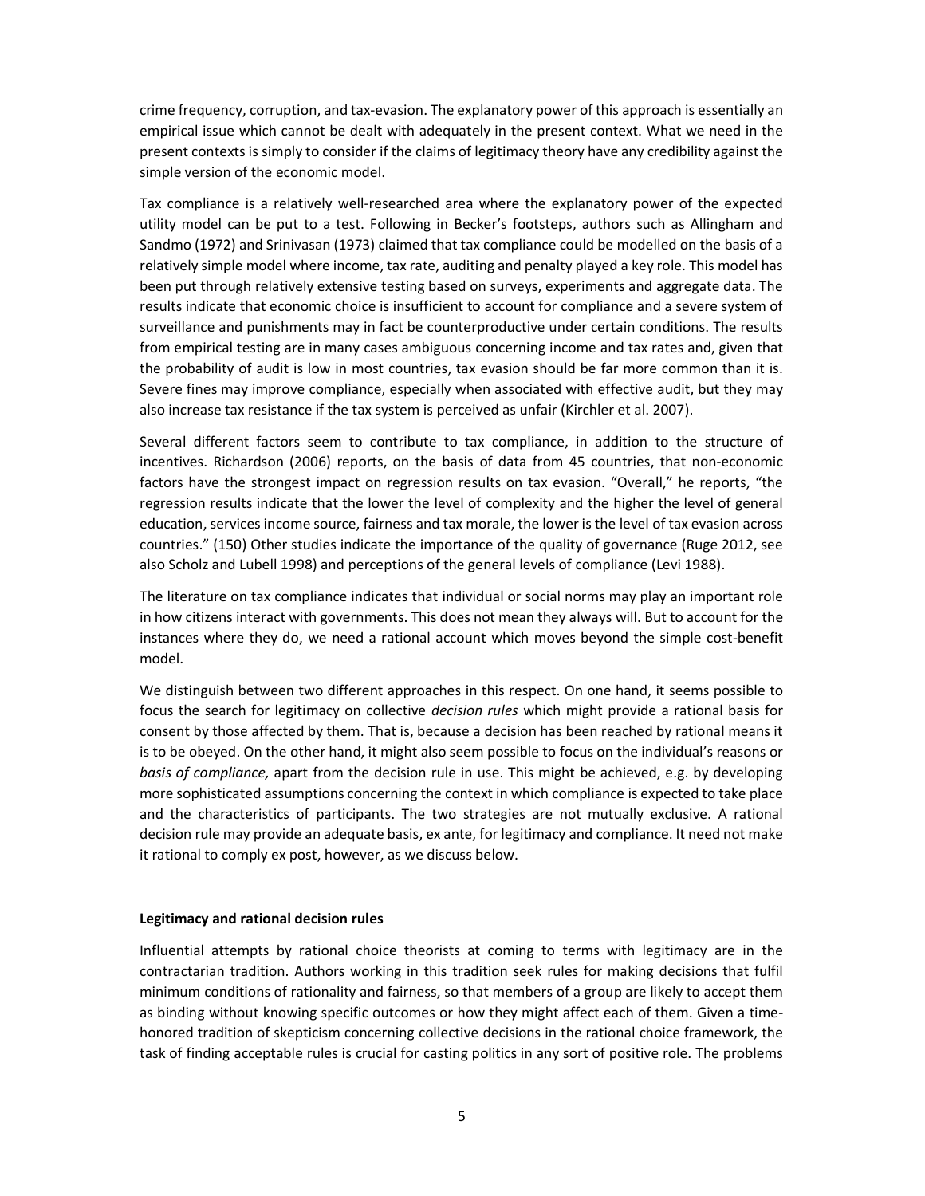crime frequency, corruption, and tax-evasion. The explanatory power of this approach is essentially an empirical issue which cannot be dealt with adequately in the present context. What we need in the present contexts is simply to consider if the claims of legitimacy theory have any credibility against the simple version of the economic model.

Tax compliance is a relatively well-researched area where the explanatory power of the expected utility model can be put to a test. Following in Becker's footsteps, authors such as Allingham and Sandmo (1972) and Srinivasan (1973) claimed that tax compliance could be modelled on the basis of a relatively simple model where income, tax rate, auditing and penalty played a key role. This model has been put through relatively extensive testing based on surveys, experiments and aggregate data. The results indicate that economic choice is insufficient to account for compliance and a severe system of surveillance and punishments may in fact be counterproductive under certain conditions. The results from empirical testing are in many cases ambiguous concerning income and tax rates and, given that the probability of audit is low in most countries, tax evasion should be far more common than it is. Severe fines may improve compliance, especially when associated with effective audit, but they may also increase tax resistance if the tax system is perceived as unfair (Kirchler et al. 2007).

Several different factors seem to contribute to tax compliance, in addition to the structure of incentives. Richardson (2006) reports, on the basis of data from 45 countries, that non-economic factors have the strongest impact on regression results on tax evasion. "Overall," he reports, "the regression results indicate that the lower the level of complexity and the higher the level of general education, services income source, fairness and tax morale, the lower is the level of tax evasion across countries." (150) Other studies indicate the importance of the quality of governance (Ruge 2012, see also Scholz and Lubell 1998) and perceptions of the general levels of compliance (Levi 1988).

The literature on tax compliance indicates that individual or social norms may play an important role in how citizens interact with governments. This does not mean they always will. But to account for the instances where they do, we need a rational account which moves beyond the simple cost-benefit model.

We distinguish between two different approaches in this respect. On one hand, it seems possible to focus the search for legitimacy on collective decision rules which might provide a rational basis for consent by those affected by them. That is, because a decision has been reached by rational means it is to be obeyed. On the other hand, it might also seem possible to focus on the individual's reasons or basis of compliance, apart from the decision rule in use. This might be achieved, e.g. by developing more sophisticated assumptions concerning the context in which compliance is expected to take place and the characteristics of participants. The two strategies are not mutually exclusive. A rational decision rule may provide an adequate basis, ex ante, for legitimacy and compliance. It need not make it rational to comply ex post, however, as we discuss below.

#### Legitimacy and rational decision rules

Influential attempts by rational choice theorists at coming to terms with legitimacy are in the contractarian tradition. Authors working in this tradition seek rules for making decisions that fulfil minimum conditions of rationality and fairness, so that members of a group are likely to accept them as binding without knowing specific outcomes or how they might affect each of them. Given a timehonored tradition of skepticism concerning collective decisions in the rational choice framework, the task of finding acceptable rules is crucial for casting politics in any sort of positive role. The problems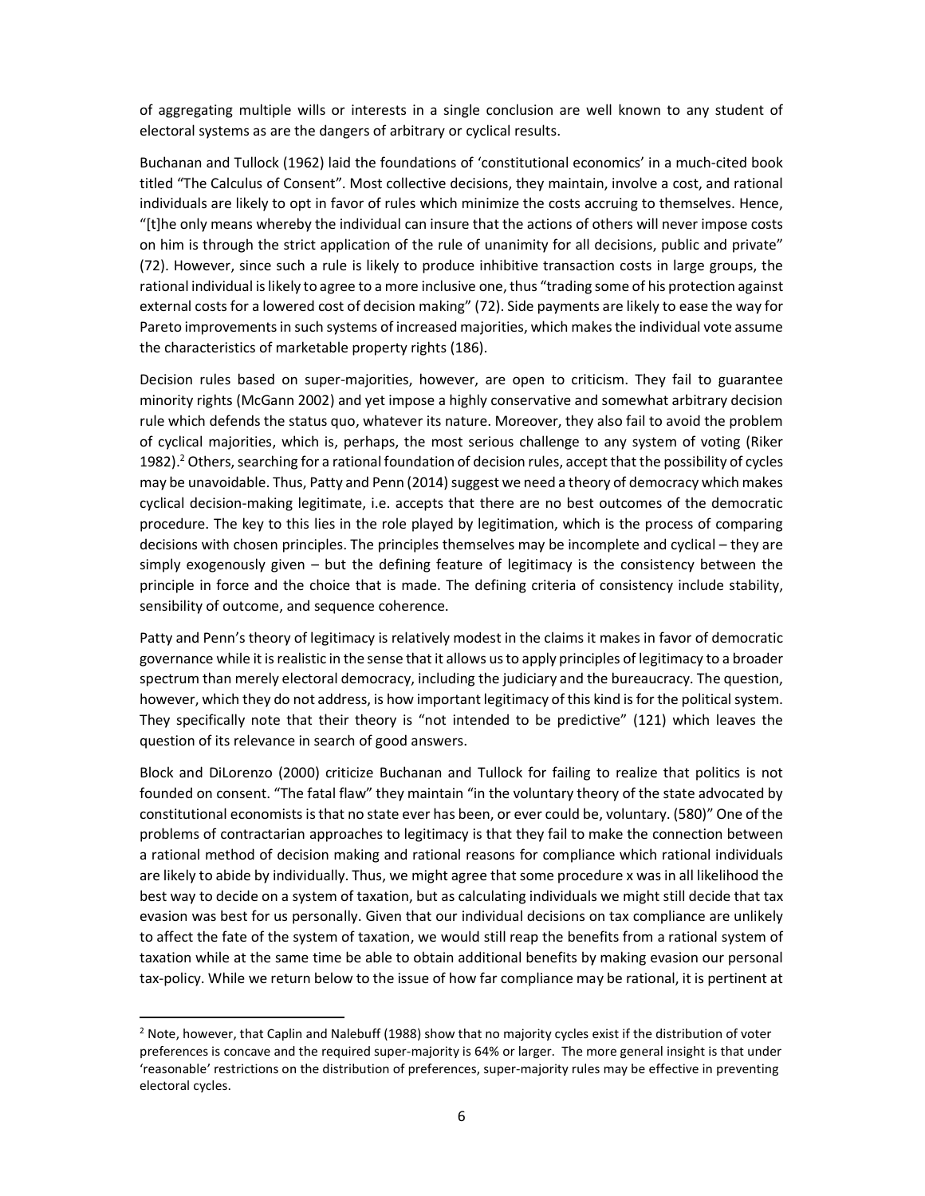of aggregating multiple wills or interests in a single conclusion are well known to any student of electoral systems as are the dangers of arbitrary or cyclical results.

Buchanan and Tullock (1962) laid the foundations of 'constitutional economics' in a much-cited book titled "The Calculus of Consent". Most collective decisions, they maintain, involve a cost, and rational individuals are likely to opt in favor of rules which minimize the costs accruing to themselves. Hence, "[t]he only means whereby the individual can insure that the actions of others will never impose costs on him is through the strict application of the rule of unanimity for all decisions, public and private" (72). However, since such a rule is likely to produce inhibitive transaction costs in large groups, the rational individual is likely to agree to a more inclusive one, thus "trading some of his protection against external costs for a lowered cost of decision making" (72). Side payments are likely to ease the way for Pareto improvements in such systems of increased majorities, which makes the individual vote assume the characteristics of marketable property rights (186).

Decision rules based on super-majorities, however, are open to criticism. They fail to guarantee minority rights (McGann 2002) and yet impose a highly conservative and somewhat arbitrary decision rule which defends the status quo, whatever its nature. Moreover, they also fail to avoid the problem of cyclical majorities, which is, perhaps, the most serious challenge to any system of voting (Riker 1982).<sup>2</sup> Others, searching for a rational foundation of decision rules, accept that the possibility of cycles may be unavoidable. Thus, Patty and Penn (2014) suggest we need a theory of democracy which makes cyclical decision-making legitimate, i.e. accepts that there are no best outcomes of the democratic procedure. The key to this lies in the role played by legitimation, which is the process of comparing decisions with chosen principles. The principles themselves may be incomplete and cyclical – they are simply exogenously given – but the defining feature of legitimacy is the consistency between the principle in force and the choice that is made. The defining criteria of consistency include stability, sensibility of outcome, and sequence coherence.

Patty and Penn's theory of legitimacy is relatively modest in the claims it makes in favor of democratic governance while it is realistic in the sense that it allows us to apply principles of legitimacy to a broader spectrum than merely electoral democracy, including the judiciary and the bureaucracy. The question, however, which they do not address, is how important legitimacy of this kind is for the political system. They specifically note that their theory is "not intended to be predictive" (121) which leaves the question of its relevance in search of good answers.

Block and DiLorenzo (2000) criticize Buchanan and Tullock for failing to realize that politics is not founded on consent. "The fatal flaw" they maintain "in the voluntary theory of the state advocated by constitutional economists is that no state ever has been, or ever could be, voluntary. (580)" One of the problems of contractarian approaches to legitimacy is that they fail to make the connection between a rational method of decision making and rational reasons for compliance which rational individuals are likely to abide by individually. Thus, we might agree that some procedure x was in all likelihood the best way to decide on a system of taxation, but as calculating individuals we might still decide that tax evasion was best for us personally. Given that our individual decisions on tax compliance are unlikely to affect the fate of the system of taxation, we would still reap the benefits from a rational system of taxation while at the same time be able to obtain additional benefits by making evasion our personal tax-policy. While we return below to the issue of how far compliance may be rational, it is pertinent at

 $\overline{a}$ 

<sup>&</sup>lt;sup>2</sup> Note, however, that Caplin and Nalebuff (1988) show that no majority cycles exist if the distribution of voter preferences is concave and the required super-majority is 64% or larger. The more general insight is that under 'reasonable' restrictions on the distribution of preferences, super-majority rules may be effective in preventing electoral cycles.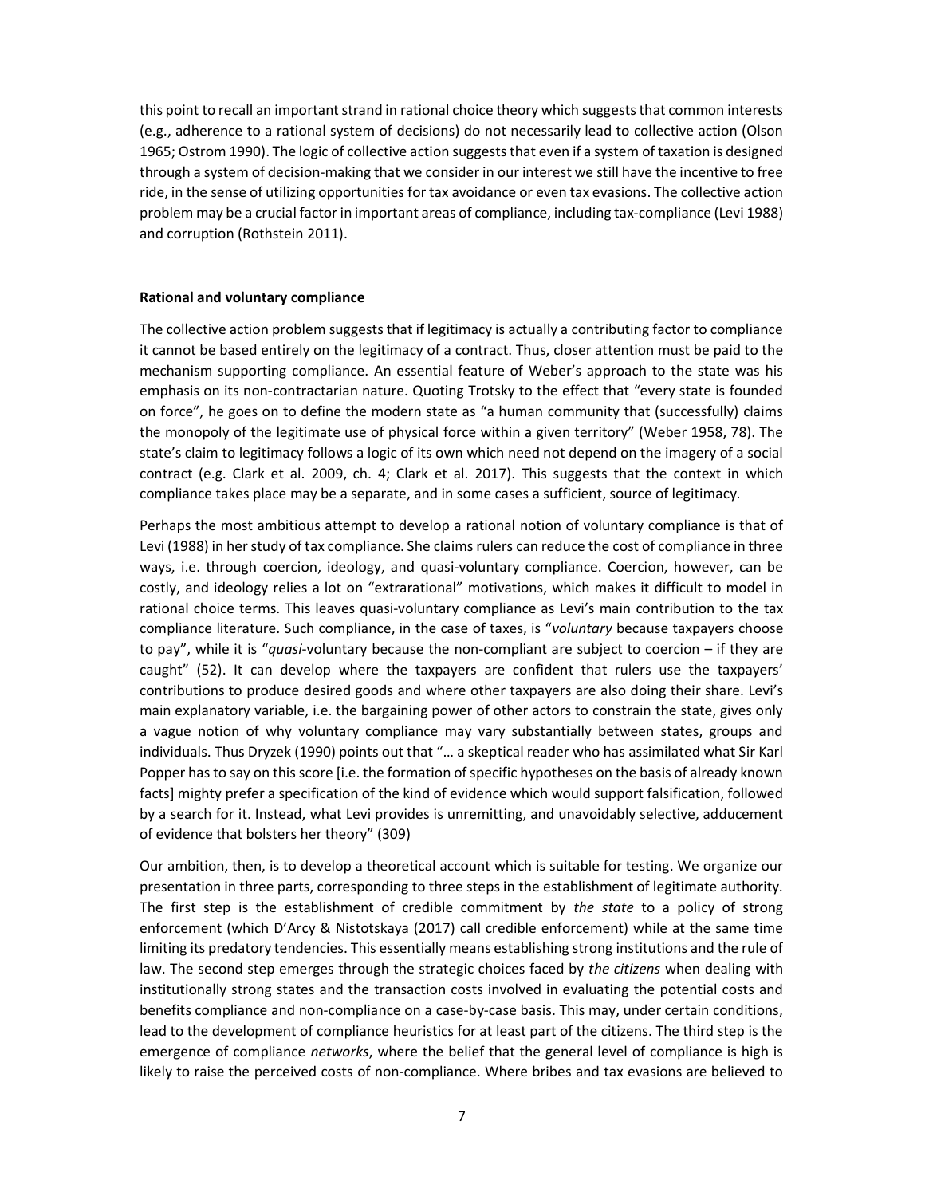this point to recall an important strand in rational choice theory which suggests that common interests (e.g., adherence to a rational system of decisions) do not necessarily lead to collective action (Olson 1965; Ostrom 1990). The logic of collective action suggests that even if a system of taxation is designed through a system of decision-making that we consider in our interest we still have the incentive to free ride, in the sense of utilizing opportunities for tax avoidance or even tax evasions. The collective action problem may be a crucial factor in important areas of compliance, including tax-compliance (Levi 1988) and corruption (Rothstein 2011).

#### Rational and voluntary compliance

The collective action problem suggests that if legitimacy is actually a contributing factor to compliance it cannot be based entirely on the legitimacy of a contract. Thus, closer attention must be paid to the mechanism supporting compliance. An essential feature of Weber's approach to the state was his emphasis on its non-contractarian nature. Quoting Trotsky to the effect that "every state is founded on force", he goes on to define the modern state as "a human community that (successfully) claims the monopoly of the legitimate use of physical force within a given territory" (Weber 1958, 78). The state's claim to legitimacy follows a logic of its own which need not depend on the imagery of a social contract (e.g. Clark et al. 2009, ch. 4; Clark et al. 2017). This suggests that the context in which compliance takes place may be a separate, and in some cases a sufficient, source of legitimacy.

Perhaps the most ambitious attempt to develop a rational notion of voluntary compliance is that of Levi (1988) in her study of tax compliance. She claims rulers can reduce the cost of compliance in three ways, i.e. through coercion, ideology, and quasi-voluntary compliance. Coercion, however, can be costly, and ideology relies a lot on "extrarational" motivations, which makes it difficult to model in rational choice terms. This leaves quasi-voluntary compliance as Levi's main contribution to the tax compliance literature. Such compliance, in the case of taxes, is "voluntary because taxpayers choose to pay", while it is "quasi-voluntary because the non-compliant are subject to coercion – if they are caught" (52). It can develop where the taxpayers are confident that rulers use the taxpayers' contributions to produce desired goods and where other taxpayers are also doing their share. Levi's main explanatory variable, i.e. the bargaining power of other actors to constrain the state, gives only a vague notion of why voluntary compliance may vary substantially between states, groups and individuals. Thus Dryzek (1990) points out that "… a skeptical reader who has assimilated what Sir Karl Popper has to say on this score [i.e. the formation of specific hypotheses on the basis of already known facts] mighty prefer a specification of the kind of evidence which would support falsification, followed by a search for it. Instead, what Levi provides is unremitting, and unavoidably selective, adducement of evidence that bolsters her theory" (309)

Our ambition, then, is to develop a theoretical account which is suitable for testing. We organize our presentation in three parts, corresponding to three steps in the establishment of legitimate authority. The first step is the establishment of credible commitment by the state to a policy of strong enforcement (which D'Arcy & Nistotskaya (2017) call credible enforcement) while at the same time limiting its predatory tendencies. This essentially means establishing strong institutions and the rule of law. The second step emerges through the strategic choices faced by the citizens when dealing with institutionally strong states and the transaction costs involved in evaluating the potential costs and benefits compliance and non-compliance on a case-by-case basis. This may, under certain conditions, lead to the development of compliance heuristics for at least part of the citizens. The third step is the emergence of compliance *networks*, where the belief that the general level of compliance is high is likely to raise the perceived costs of non-compliance. Where bribes and tax evasions are believed to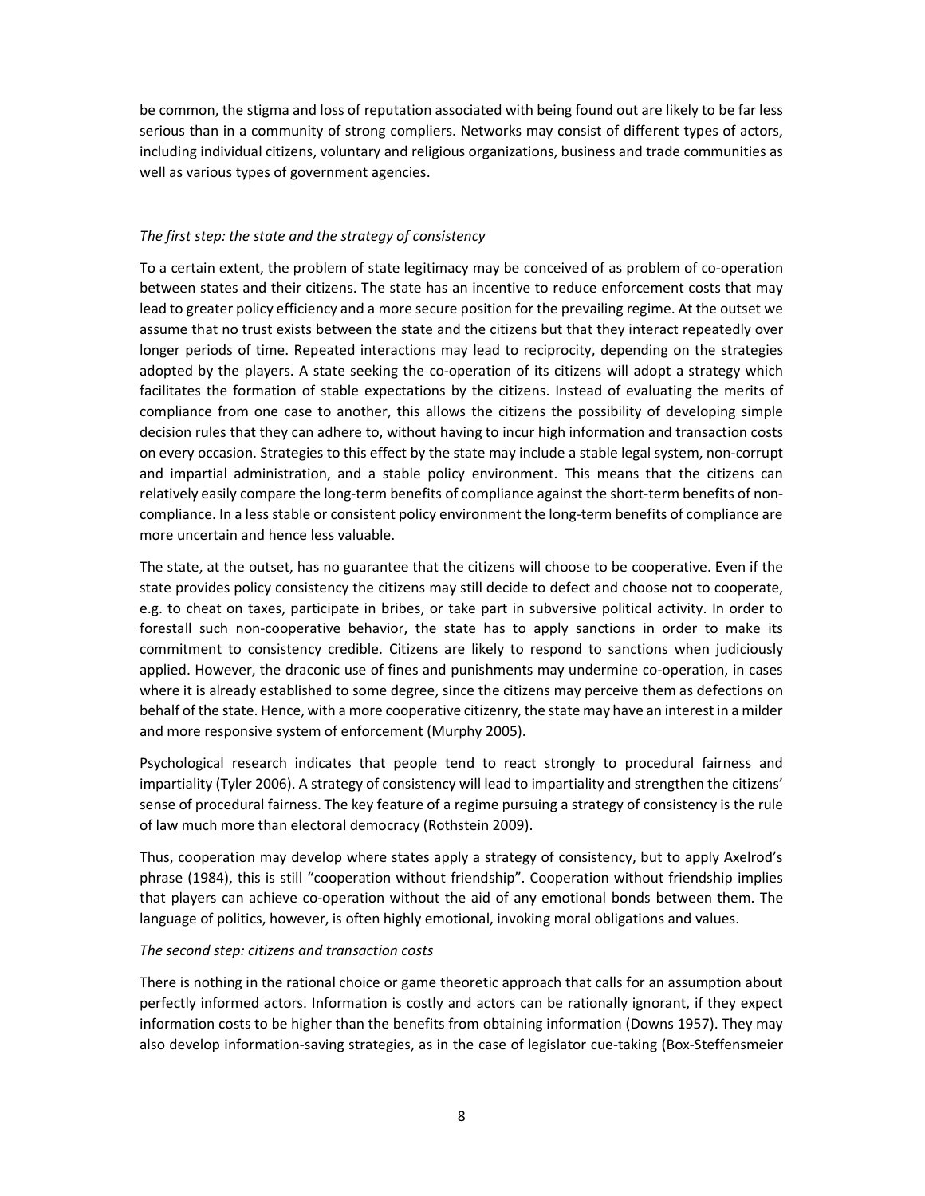be common, the stigma and loss of reputation associated with being found out are likely to be far less serious than in a community of strong compliers. Networks may consist of different types of actors, including individual citizens, voluntary and religious organizations, business and trade communities as well as various types of government agencies.

#### The first step: the state and the strategy of consistency

To a certain extent, the problem of state legitimacy may be conceived of as problem of co-operation between states and their citizens. The state has an incentive to reduce enforcement costs that may lead to greater policy efficiency and a more secure position for the prevailing regime. At the outset we assume that no trust exists between the state and the citizens but that they interact repeatedly over longer periods of time. Repeated interactions may lead to reciprocity, depending on the strategies adopted by the players. A state seeking the co-operation of its citizens will adopt a strategy which facilitates the formation of stable expectations by the citizens. Instead of evaluating the merits of compliance from one case to another, this allows the citizens the possibility of developing simple decision rules that they can adhere to, without having to incur high information and transaction costs on every occasion. Strategies to this effect by the state may include a stable legal system, non-corrupt and impartial administration, and a stable policy environment. This means that the citizens can relatively easily compare the long-term benefits of compliance against the short-term benefits of noncompliance. In a less stable or consistent policy environment the long-term benefits of compliance are more uncertain and hence less valuable.

The state, at the outset, has no guarantee that the citizens will choose to be cooperative. Even if the state provides policy consistency the citizens may still decide to defect and choose not to cooperate, e.g. to cheat on taxes, participate in bribes, or take part in subversive political activity. In order to forestall such non-cooperative behavior, the state has to apply sanctions in order to make its commitment to consistency credible. Citizens are likely to respond to sanctions when judiciously applied. However, the draconic use of fines and punishments may undermine co-operation, in cases where it is already established to some degree, since the citizens may perceive them as defections on behalf of the state. Hence, with a more cooperative citizenry, the state may have an interest in a milder and more responsive system of enforcement (Murphy 2005).

Psychological research indicates that people tend to react strongly to procedural fairness and impartiality (Tyler 2006). A strategy of consistency will lead to impartiality and strengthen the citizens' sense of procedural fairness. The key feature of a regime pursuing a strategy of consistency is the rule of law much more than electoral democracy (Rothstein 2009).

Thus, cooperation may develop where states apply a strategy of consistency, but to apply Axelrod's phrase (1984), this is still "cooperation without friendship". Cooperation without friendship implies that players can achieve co-operation without the aid of any emotional bonds between them. The language of politics, however, is often highly emotional, invoking moral obligations and values.

#### The second step: citizens and transaction costs

There is nothing in the rational choice or game theoretic approach that calls for an assumption about perfectly informed actors. Information is costly and actors can be rationally ignorant, if they expect information costs to be higher than the benefits from obtaining information (Downs 1957). They may also develop information-saving strategies, as in the case of legislator cue-taking (Box-Steffensmeier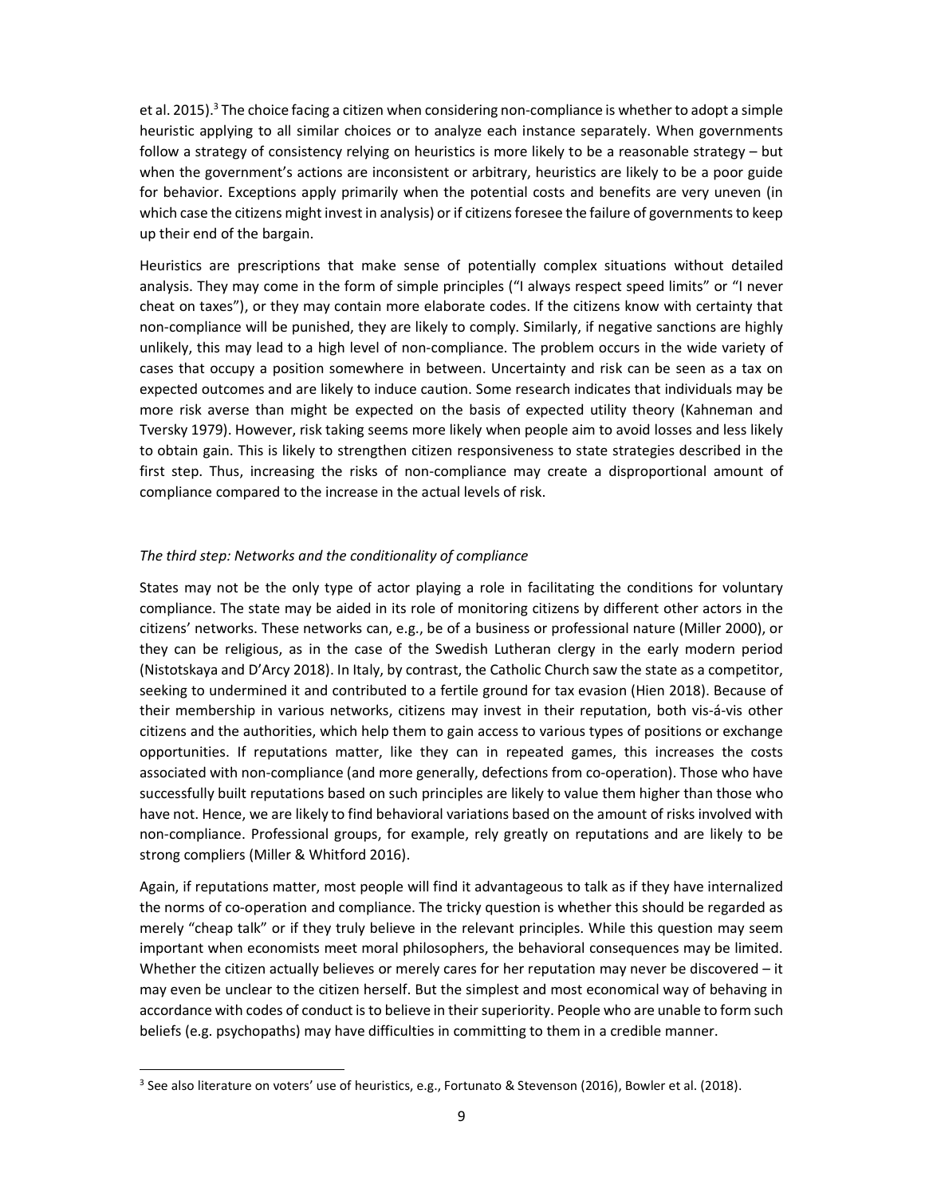et al. 2015).<sup>3</sup> The choice facing a citizen when considering non-compliance is whether to adopt a simple heuristic applying to all similar choices or to analyze each instance separately. When governments follow a strategy of consistency relying on heuristics is more likely to be a reasonable strategy – but when the government's actions are inconsistent or arbitrary, heuristics are likely to be a poor guide for behavior. Exceptions apply primarily when the potential costs and benefits are very uneven (in which case the citizens might invest in analysis) or if citizens foresee the failure of governments to keep up their end of the bargain.

Heuristics are prescriptions that make sense of potentially complex situations without detailed analysis. They may come in the form of simple principles ("I always respect speed limits" or "I never cheat on taxes"), or they may contain more elaborate codes. If the citizens know with certainty that non-compliance will be punished, they are likely to comply. Similarly, if negative sanctions are highly unlikely, this may lead to a high level of non-compliance. The problem occurs in the wide variety of cases that occupy a position somewhere in between. Uncertainty and risk can be seen as a tax on expected outcomes and are likely to induce caution. Some research indicates that individuals may be more risk averse than might be expected on the basis of expected utility theory (Kahneman and Tversky 1979). However, risk taking seems more likely when people aim to avoid losses and less likely to obtain gain. This is likely to strengthen citizen responsiveness to state strategies described in the first step. Thus, increasing the risks of non-compliance may create a disproportional amount of compliance compared to the increase in the actual levels of risk.

#### The third step: Networks and the conditionality of compliance

**.** 

States may not be the only type of actor playing a role in facilitating the conditions for voluntary compliance. The state may be aided in its role of monitoring citizens by different other actors in the citizens' networks. These networks can, e.g., be of a business or professional nature (Miller 2000), or they can be religious, as in the case of the Swedish Lutheran clergy in the early modern period (Nistotskaya and D'Arcy 2018). In Italy, by contrast, the Catholic Church saw the state as a competitor, seeking to undermined it and contributed to a fertile ground for tax evasion (Hien 2018). Because of their membership in various networks, citizens may invest in their reputation, both vis-á-vis other citizens and the authorities, which help them to gain access to various types of positions or exchange opportunities. If reputations matter, like they can in repeated games, this increases the costs associated with non-compliance (and more generally, defections from co-operation). Those who have successfully built reputations based on such principles are likely to value them higher than those who have not. Hence, we are likely to find behavioral variations based on the amount of risks involved with non-compliance. Professional groups, for example, rely greatly on reputations and are likely to be strong compliers (Miller & Whitford 2016).

Again, if reputations matter, most people will find it advantageous to talk as if they have internalized the norms of co-operation and compliance. The tricky question is whether this should be regarded as merely "cheap talk" or if they truly believe in the relevant principles. While this question may seem important when economists meet moral philosophers, the behavioral consequences may be limited. Whether the citizen actually believes or merely cares for her reputation may never be discovered – it may even be unclear to the citizen herself. But the simplest and most economical way of behaving in accordance with codes of conduct is to believe in their superiority. People who are unable to form such beliefs (e.g. psychopaths) may have difficulties in committing to them in a credible manner.

<sup>3</sup> See also literature on voters' use of heuristics, e.g., Fortunato & Stevenson (2016), Bowler et al. (2018).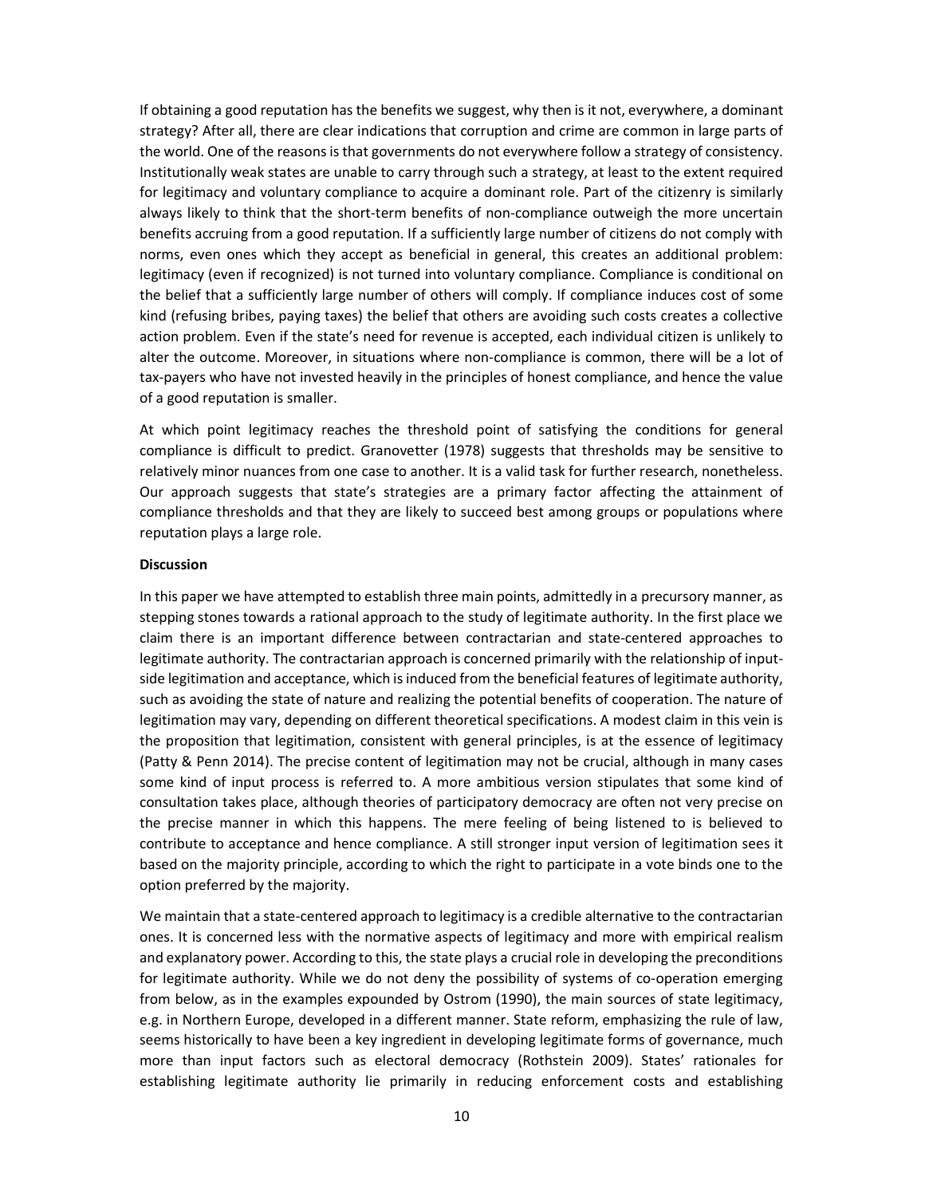If obtaining a good reputation has the benefits we suggest, why then is it not, everywhere, a dominant strategy? After all, there are clear indications that corruption and crime are common in large parts of the world. One of the reasons is that governments do not everywhere follow a strategy of consistency. Institutionally weak states are unable to carry through such a strategy, at least to the extent required for legitimacy and voluntary compliance to acquire a dominant role. Part of the citizenry is similarly always likely to think that the short-term benefits of non-compliance outweigh the more uncertain benefits accruing from a good reputation. If a sufficiently large number of citizens do not comply with norms, even ones which they accept as beneficial in general, this creates an additional problem: legitimacy (even if recognized) is not turned into voluntary compliance. Compliance is conditional on the belief that a sufficiently large number of others will comply. If compliance induces cost of some kind (refusing bribes, paying taxes) the belief that others are avoiding such costs creates a collective action problem. Even if the state's need for revenue is accepted, each individual citizen is unlikely to alter the outcome. Moreover, in situations where non-compliance is common, there will be a lot of tax-payers who have not invested heavily in the principles of honest compliance, and hence the value of a good reputation is smaller.

At which point legitimacy reaches the threshold point of satisfying the conditions for general compliance is difficult to predict. Granovetter (1978) suggests that thresholds may be sensitive to relatively minor nuances from one case to another. It is a valid task for further research, nonetheless. Our approach suggests that state's strategies are a primary factor affecting the attainment of compliance thresholds and that they are likely to succeed best among groups or populations where reputation plays a large role.

#### Discussion

In this paper we have attempted to establish three main points, admittedly in a precursory manner, as stepping stones towards a rational approach to the study of legitimate authority. In the first place we claim there is an important difference between contractarian and state-centered approaches to legitimate authority. The contractarian approach is concerned primarily with the relationship of inputside legitimation and acceptance, which is induced from the beneficial features of legitimate authority, such as avoiding the state of nature and realizing the potential benefits of cooperation. The nature of legitimation may vary, depending on different theoretical specifications. A modest claim in this vein is the proposition that legitimation, consistent with general principles, is at the essence of legitimacy (Patty & Penn 2014). The precise content of legitimation may not be crucial, although in many cases some kind of input process is referred to. A more ambitious version stipulates that some kind of consultation takes place, although theories of participatory democracy are often not very precise on the precise manner in which this happens. The mere feeling of being listened to is believed to contribute to acceptance and hence compliance. A still stronger input version of legitimation sees it based on the majority principle, according to which the right to participate in a vote binds one to the option preferred by the majority.

We maintain that a state-centered approach to legitimacy is a credible alternative to the contractarian ones. It is concerned less with the normative aspects of legitimacy and more with empirical realism and explanatory power. According to this, the state plays a crucial role in developing the preconditions for legitimate authority. While we do not deny the possibility of systems of co-operation emerging from below, as in the examples expounded by Ostrom (1990), the main sources of state legitimacy, e.g. in Northern Europe, developed in a different manner. State reform, emphasizing the rule of law, seems historically to have been a key ingredient in developing legitimate forms of governance, much more than input factors such as electoral democracy (Rothstein 2009). States' rationales for establishing legitimate authority lie primarily in reducing enforcement costs and establishing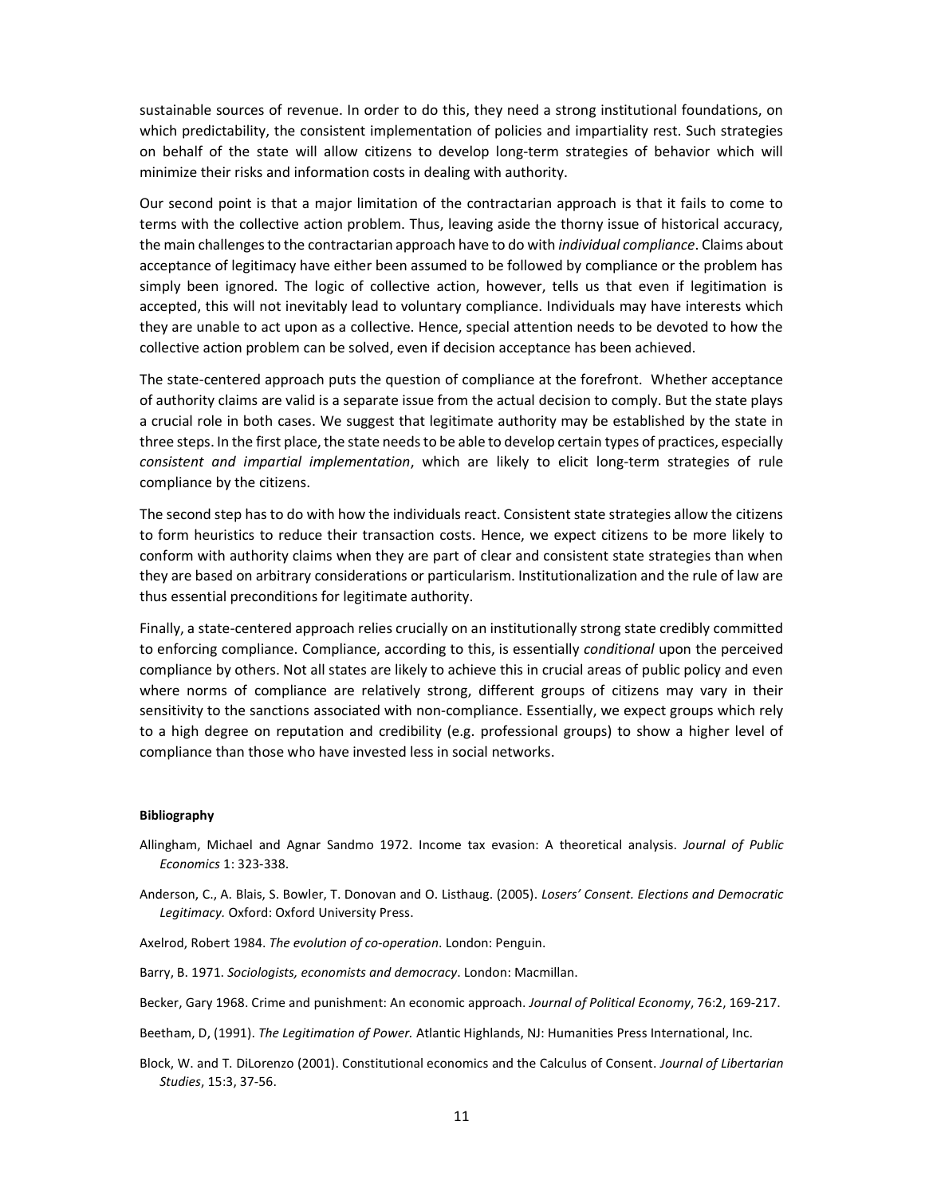sustainable sources of revenue. In order to do this, they need a strong institutional foundations, on which predictability, the consistent implementation of policies and impartiality rest. Such strategies on behalf of the state will allow citizens to develop long-term strategies of behavior which will minimize their risks and information costs in dealing with authority.

Our second point is that a major limitation of the contractarian approach is that it fails to come to terms with the collective action problem. Thus, leaving aside the thorny issue of historical accuracy, the main challenges to the contractarian approach have to do with *individual compliance*. Claims about acceptance of legitimacy have either been assumed to be followed by compliance or the problem has simply been ignored. The logic of collective action, however, tells us that even if legitimation is accepted, this will not inevitably lead to voluntary compliance. Individuals may have interests which they are unable to act upon as a collective. Hence, special attention needs to be devoted to how the collective action problem can be solved, even if decision acceptance has been achieved.

The state-centered approach puts the question of compliance at the forefront. Whether acceptance of authority claims are valid is a separate issue from the actual decision to comply. But the state plays a crucial role in both cases. We suggest that legitimate authority may be established by the state in three steps. In the first place, the state needs to be able to develop certain types of practices, especially consistent and impartial implementation, which are likely to elicit long-term strategies of rule compliance by the citizens.

The second step has to do with how the individuals react. Consistent state strategies allow the citizens to form heuristics to reduce their transaction costs. Hence, we expect citizens to be more likely to conform with authority claims when they are part of clear and consistent state strategies than when they are based on arbitrary considerations or particularism. Institutionalization and the rule of law are thus essential preconditions for legitimate authority.

Finally, a state-centered approach relies crucially on an institutionally strong state credibly committed to enforcing compliance. Compliance, according to this, is essentially *conditional* upon the perceived compliance by others. Not all states are likely to achieve this in crucial areas of public policy and even where norms of compliance are relatively strong, different groups of citizens may vary in their sensitivity to the sanctions associated with non-compliance. Essentially, we expect groups which rely to a high degree on reputation and credibility (e.g. professional groups) to show a higher level of compliance than those who have invested less in social networks.

#### Bibliography

- Allingham, Michael and Agnar Sandmo 1972. Income tax evasion: A theoretical analysis. Journal of Public Economics 1: 323-338.
- Anderson, C., A. Blais, S. Bowler, T. Donovan and O. Listhaug. (2005). Losers' Consent. Elections and Democratic Legitimacy. Oxford: Oxford University Press.
- Axelrod, Robert 1984. The evolution of co-operation. London: Penguin.

Barry, B. 1971. Sociologists, economists and democracy. London: Macmillan.

Becker, Gary 1968. Crime and punishment: An economic approach. Journal of Political Economy, 76:2, 169-217.

Beetham, D, (1991). The Legitimation of Power. Atlantic Highlands, NJ: Humanities Press International, Inc.

Block, W. and T. DiLorenzo (2001). Constitutional economics and the Calculus of Consent. Journal of Libertarian Studies, 15:3, 37-56.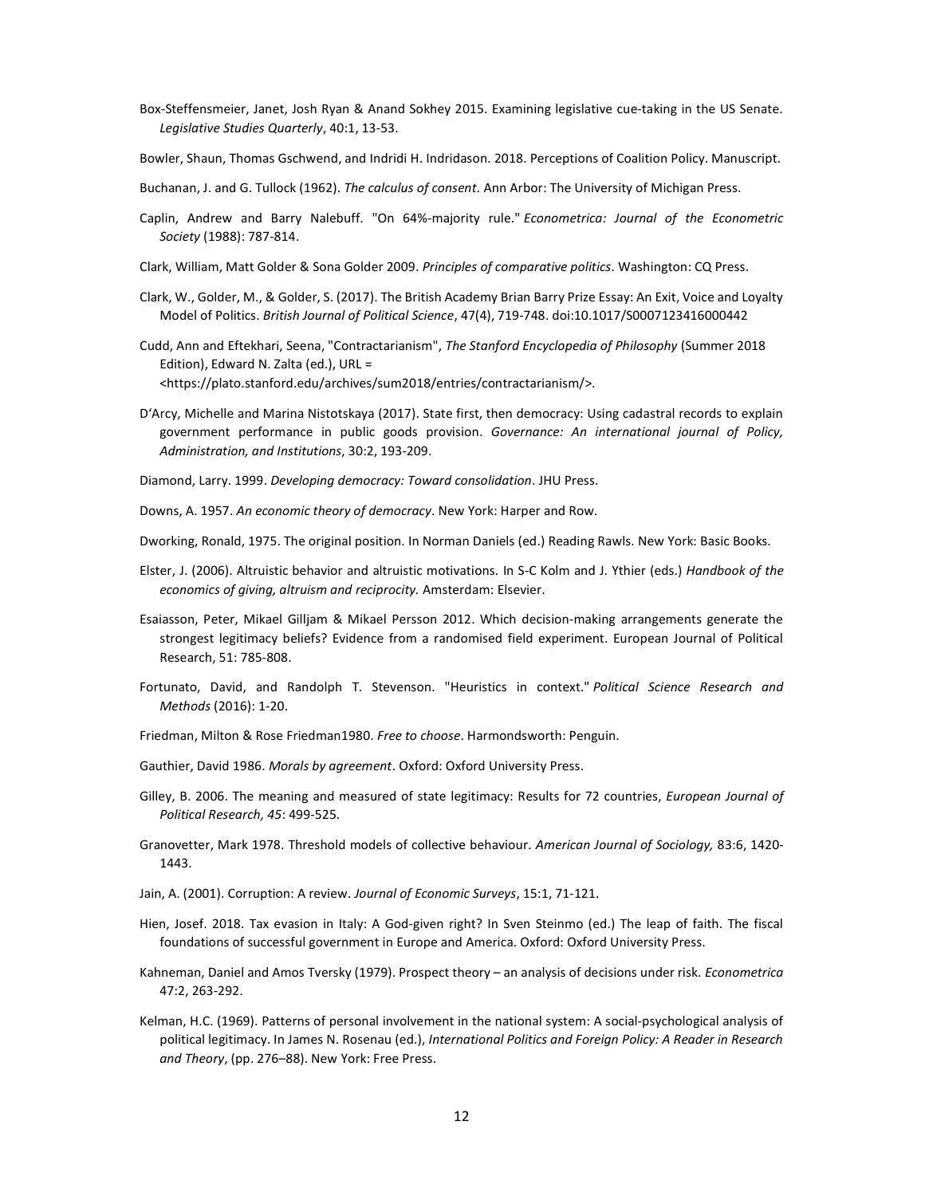- Box-Steffensmeier, Janet, Josh Ryan & Anand Sokhey 2015. Examining legislative cue-taking in the US Senate. Legislative Studies Quarterly, 40:1, 13-53.
- Bowler, Shaun, Thomas Gschwend, and Indridi H. Indridason. 2018. Perceptions of Coalition Policy. Manuscript.
- Buchanan, J. and G. Tullock (1962). The calculus of consent. Ann Arbor: The University of Michigan Press.
- Caplin, Andrew and Barry Nalebuff. "On 64%-majority rule." Econometrica: Journal of the Econometric Society (1988): 787-814.
- Clark, William, Matt Golder & Sona Golder 2009. Principles of comparative politics. Washington: CQ Press.
- Clark, W., Golder, M., & Golder, S. (2017). The British Academy Brian Barry Prize Essay: An Exit, Voice and Loyalty Model of Politics. British Journal of Political Science, 47(4), 719-748. doi:10.1017/S0007123416000442
- Cudd, Ann and Eftekhari, Seena, "Contractarianism", The Stanford Encyclopedia of Philosophy (Summer 2018 Edition), Edward N. Zalta (ed.), URL = <https://plato.stanford.edu/archives/sum2018/entries/contractarianism/>.
- D'Arcy, Michelle and Marina Nistotskaya (2017). State first, then democracy: Using cadastral records to explain government performance in public goods provision. Governance: An international journal of Policy, Administration, and Institutions, 30:2, 193-209.
- Diamond, Larry. 1999. Developing democracy: Toward consolidation. JHU Press.
- Downs, A. 1957. An economic theory of democracy. New York: Harper and Row.
- Dworking, Ronald, 1975. The original position. In Norman Daniels (ed.) Reading Rawls. New York: Basic Books.
- Elster, J. (2006). Altruistic behavior and altruistic motivations. In S-C Kolm and J. Ythier (eds.) Handbook of the economics of giving, altruism and reciprocity. Amsterdam: Elsevier.
- Esaiasson, Peter, Mikael Gilljam & Mikael Persson 2012. Which decision-making arrangements generate the strongest legitimacy beliefs? Evidence from a randomised field experiment. European Journal of Political Research, 51: 785-808.
- Fortunato, David, and Randolph T. Stevenson. "Heuristics in context." Political Science Research and Methods (2016): 1-20.
- Friedman, Milton & Rose Friedman1980. Free to choose. Harmondsworth: Penguin.
- Gauthier, David 1986. Morals by agreement. Oxford: Oxford University Press.
- Gilley, B. 2006. The meaning and measured of state legitimacy: Results for 72 countries, European Journal of Political Research, 45: 499-525.
- Granovetter, Mark 1978. Threshold models of collective behaviour. American Journal of Sociology, 83:6, 1420- 1443.
- Jain, A. (2001). Corruption: A review. Journal of Economic Surveys, 15:1, 71-121.
- Hien, Josef. 2018. Tax evasion in Italy: A God-given right? In Sven Steinmo (ed.) The leap of faith. The fiscal foundations of successful government in Europe and America. Oxford: Oxford University Press.
- Kahneman, Daniel and Amos Tversky (1979). Prospect theory an analysis of decisions under risk. Econometrica 47:2, 263-292.
- Kelman, H.C. (1969). Patterns of personal involvement in the national system: A social-psychological analysis of political legitimacy. In James N. Rosenau (ed.), International Politics and Foreign Policy: A Reader in Research and Theory, (pp. 276–88). New York: Free Press.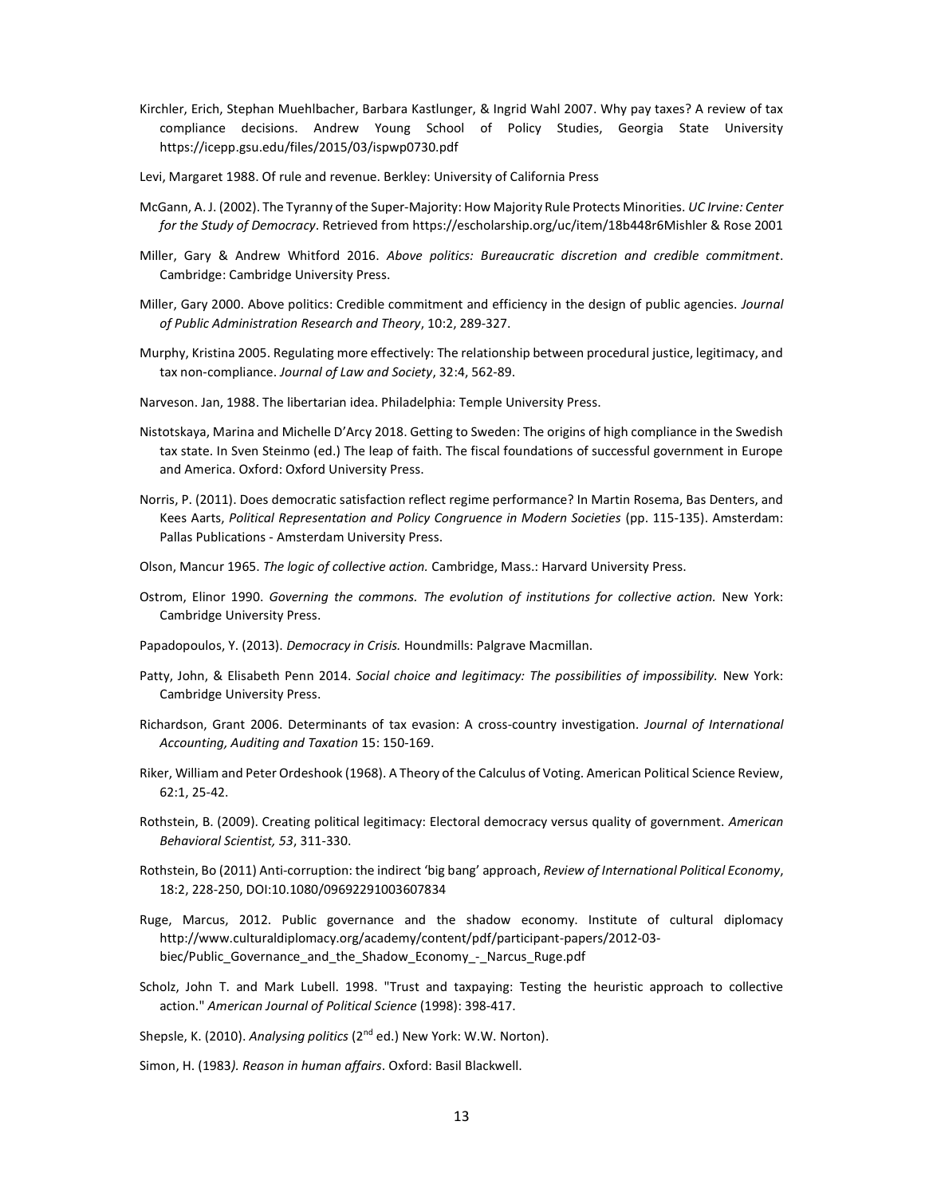- Kirchler, Erich, Stephan Muehlbacher, Barbara Kastlunger, & Ingrid Wahl 2007. Why pay taxes? A review of tax compliance decisions. Andrew Young School of Policy Studies, Georgia State University https://icepp.gsu.edu/files/2015/03/ispwp0730.pdf
- Levi, Margaret 1988. Of rule and revenue. Berkley: University of California Press
- McGann, A. J. (2002). The Tyranny of the Super-Majority: How Majority Rule Protects Minorities. UC Irvine: Center for the Study of Democracy. Retrieved from https://escholarship.org/uc/item/18b448r6Mishler & Rose 2001
- Miller, Gary & Andrew Whitford 2016. Above politics: Bureaucratic discretion and credible commitment. Cambridge: Cambridge University Press.
- Miller, Gary 2000. Above politics: Credible commitment and efficiency in the design of public agencies. Journal of Public Administration Research and Theory, 10:2, 289-327.
- Murphy, Kristina 2005. Regulating more effectively: The relationship between procedural justice, legitimacy, and tax non-compliance. Journal of Law and Society, 32:4, 562-89.
- Narveson. Jan, 1988. The libertarian idea. Philadelphia: Temple University Press.
- Nistotskaya, Marina and Michelle D'Arcy 2018. Getting to Sweden: The origins of high compliance in the Swedish tax state. In Sven Steinmo (ed.) The leap of faith. The fiscal foundations of successful government in Europe and America. Oxford: Oxford University Press.
- Norris, P. (2011). Does democratic satisfaction reflect regime performance? In Martin Rosema, Bas Denters, and Kees Aarts, Political Representation and Policy Congruence in Modern Societies (pp. 115-135). Amsterdam: Pallas Publications - Amsterdam University Press.
- Olson, Mancur 1965. The logic of collective action. Cambridge, Mass.: Harvard University Press.
- Ostrom, Elinor 1990. Governing the commons. The evolution of institutions for collective action. New York: Cambridge University Press.
- Papadopoulos, Y. (2013). Democracy in Crisis. Houndmills: Palgrave Macmillan.
- Patty, John, & Elisabeth Penn 2014. Social choice and legitimacy: The possibilities of impossibility. New York: Cambridge University Press.
- Richardson, Grant 2006. Determinants of tax evasion: A cross-country investigation. Journal of International Accounting, Auditing and Taxation 15: 150-169.
- Riker, William and Peter Ordeshook (1968). A Theory of the Calculus of Voting. American Political Science Review, 62:1, 25-42.
- Rothstein, B. (2009). Creating political legitimacy: Electoral democracy versus quality of government. American Behavioral Scientist, 53, 311-330.
- Rothstein, Bo (2011) Anti-corruption: the indirect 'big bang' approach, Review of International Political Economy, 18:2, 228-250, DOI:10.1080/09692291003607834
- Ruge, Marcus, 2012. Public governance and the shadow economy. Institute of cultural diplomacy http://www.culturaldiplomacy.org/academy/content/pdf/participant-papers/2012-03 biec/Public Governance and the Shadow Economy - Narcus Ruge.pdf
- Scholz, John T. and Mark Lubell. 1998. "Trust and taxpaying: Testing the heuristic approach to collective action." American Journal of Political Science (1998): 398-417.

Shepsle, K. (2010). Analysing politics (2<sup>nd</sup> ed.) New York: W.W. Norton).

Simon, H. (1983). Reason in human affairs. Oxford: Basil Blackwell.